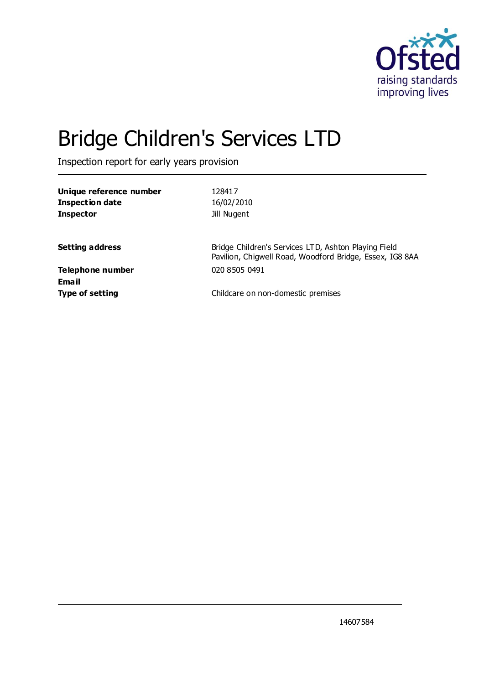

# Bridge Children's Services LTD

Inspection report for early years provision

| Unique reference number<br><b>Inspection date</b><br><b>Inspector</b> | 128417<br>16/02/2010<br>Jill Nugent                                                                              |
|-----------------------------------------------------------------------|------------------------------------------------------------------------------------------------------------------|
| <b>Setting address</b>                                                | Bridge Children's Services LTD, Ashton Playing Field<br>Pavilion, Chiqwell Road, Woodford Bridge, Essex, IG8 8AA |
| <b>Telephone number</b><br>Email                                      | 020 8505 0491                                                                                                    |
| <b>Type of setting</b>                                                | Childcare on non-domestic premises                                                                               |

14607584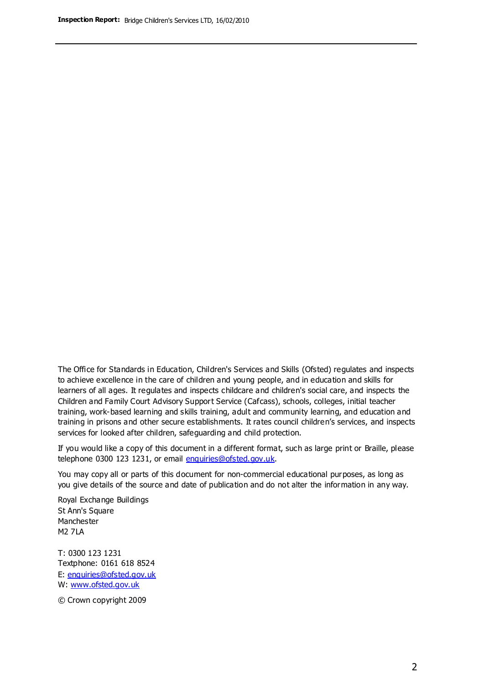The Office for Standards in Education, Children's Services and Skills (Ofsted) regulates and inspects to achieve excellence in the care of children and young people, and in education and skills for learners of all ages. It regulates and inspects childcare and children's social care, and inspects the Children and Family Court Advisory Support Service (Cafcass), schools, colleges, initial teacher training, work-based learning and skills training, adult and community learning, and education and training in prisons and other secure establishments. It rates council children's services, and inspects services for looked after children, safeguarding and child protection.

If you would like a copy of this document in a different format, such as large print or Braille, please telephone 0300 123 1231, or email enquiries@ofsted.gov.uk.

You may copy all or parts of this document for non-commercial educational purposes, as long as you give details of the source and date of publication and do not alter the information in any way.

Royal Exchange Buildings St Ann's Square Manchester M2 7LA

T: 0300 123 1231 Textphone: 0161 618 8524 E: enquiries@ofsted.gov.uk W: [www.ofsted.gov.uk](http://www.ofsted.gov.uk/)

© Crown copyright 2009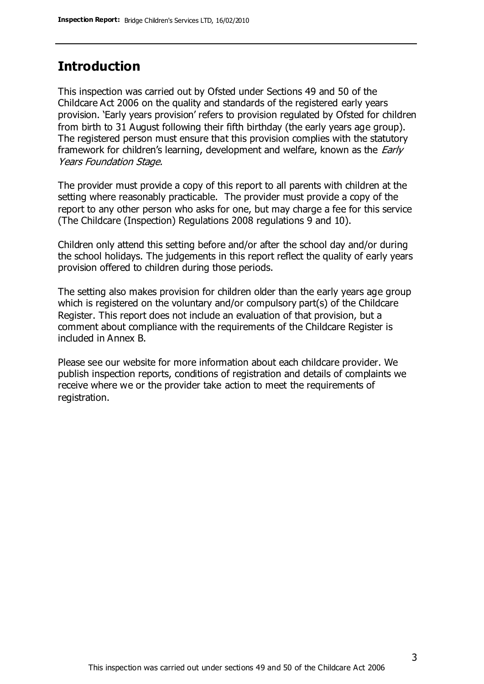## **Introduction**

This inspection was carried out by Ofsted under Sections 49 and 50 of the Childcare Act 2006 on the quality and standards of the registered early years provision. 'Early years provision' refers to provision regulated by Ofsted for children from birth to 31 August following their fifth birthday (the early years age group). The registered person must ensure that this provision complies with the statutory framework for children's learning, development and welfare, known as the *Early* Years Foundation Stage.

The provider must provide a copy of this report to all parents with children at the setting where reasonably practicable. The provider must provide a copy of the report to any other person who asks for one, but may charge a fee for this service (The Childcare (Inspection) Regulations 2008 regulations 9 and 10).

Children only attend this setting before and/or after the school day and/or during the school holidays. The judgements in this report reflect the quality of early years provision offered to children during those periods.

The setting also makes provision for children older than the early years age group which is registered on the voluntary and/or compulsory part(s) of the Childcare Register. This report does not include an evaluation of that provision, but a comment about compliance with the requirements of the Childcare Register is included in Annex B.

Please see our website for more information about each childcare provider. We publish inspection reports, conditions of registration and details of complaints we receive where we or the provider take action to meet the requirements of registration.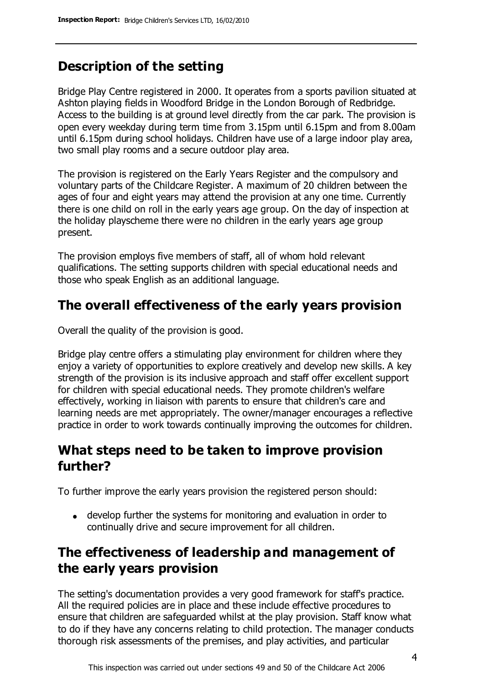## **Description of the setting**

Bridge Play Centre registered in 2000. It operates from a sports pavilion situated at Ashton playing fields in Woodford Bridge in the London Borough of Redbridge. Access to the building is at ground level directly from the car park. The provision is open every weekday during term time from 3.15pm until 6.15pm and from 8.00am until 6.15pm during school holidays. Children have use of a large indoor play area, two small play rooms and a secure outdoor play area.

The provision is registered on the Early Years Register and the compulsory and voluntary parts of the Childcare Register. A maximum of 20 children between the ages of four and eight years may attend the provision at any one time. Currently there is one child on roll in the early years age group. On the day of inspection at the holiday playscheme there were no children in the early years age group present.

The provision employs five members of staff, all of whom hold relevant qualifications. The setting supports children with special educational needs and those who speak English as an additional language.

## **The overall effectiveness of the early years provision**

Overall the quality of the provision is good.

Bridge play centre offers a stimulating play environment for children where they enjoy a variety of opportunities to explore creatively and develop new skills. A key strength of the provision is its inclusive approach and staff offer excellent support for children with special educational needs. They promote children's welfare effectively, working in liaison with parents to ensure that children's care and learning needs are met appropriately. The owner/manager encourages a reflective practice in order to work towards continually improving the outcomes for children.

## **What steps need to be taken to improve provision further?**

To further improve the early years provision the registered person should:

develop further the systems for monitoring and evaluation in order to continually drive and secure improvement for all children.

# **The effectiveness of leadership and management of the early years provision**

The setting's documentation provides a very good framework for staff's practice. All the required policies are in place and these include effective procedures to ensure that children are safeguarded whilst at the play provision. Staff know what to do if they have any concerns relating to child protection. The manager conducts thorough risk assessments of the premises, and play activities, and particular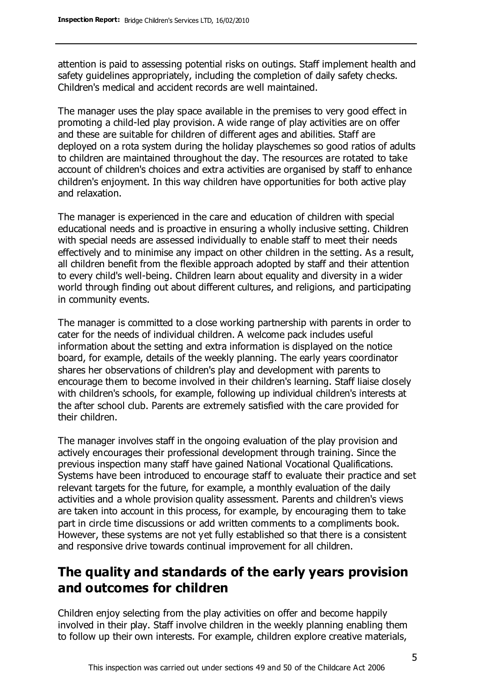attention is paid to assessing potential risks on outings. Staff implement health and safety guidelines appropriately, including the completion of daily safety checks. Children's medical and accident records are well maintained.

The manager uses the play space available in the premises to very good effect in promoting a child-led play provision. A wide range of play activities are on offer and these are suitable for children of different ages and abilities. Staff are deployed on a rota system during the holiday playschemes so good ratios of adults to children are maintained throughout the day. The resources are rotated to take account of children's choices and extra activities are organised by staff to enhance children's enjoyment. In this way children have opportunities for both active play and relaxation.

The manager is experienced in the care and education of children with special educational needs and is proactive in ensuring a wholly inclusive setting. Children with special needs are assessed individually to enable staff to meet their needs effectively and to minimise any impact on other children in the setting. As a result, all children benefit from the flexible approach adopted by staff and their attention to every child's well-being. Children learn about equality and diversity in a wider world through finding out about different cultures, and religions, and participating in community events.

The manager is committed to a close working partnership with parents in order to cater for the needs of individual children. A welcome pack includes useful information about the setting and extra information is displayed on the notice board, for example, details of the weekly planning. The early years coordinator shares her observations of children's play and development with parents to encourage them to become involved in their children's learning. Staff liaise closely with children's schools, for example, following up individual children's interests at the after school club. Parents are extremely satisfied with the care provided for their children.

The manager involves staff in the ongoing evaluation of the play provision and actively encourages their professional development through training. Since the previous inspection many staff have gained National Vocational Qualifications. Systems have been introduced to encourage staff to evaluate their practice and set relevant targets for the future, for example, a monthly evaluation of the daily activities and a whole provision quality assessment. Parents and children's views are taken into account in this process, for example, by encouraging them to take part in circle time discussions or add written comments to a compliments book. However, these systems are not yet fully established so that there is a consistent and responsive drive towards continual improvement for all children.

## **The quality and standards of the early years provision and outcomes for children**

Children enjoy selecting from the play activities on offer and become happily involved in their play. Staff involve children in the weekly planning enabling them to follow up their own interests. For example, children explore creative materials,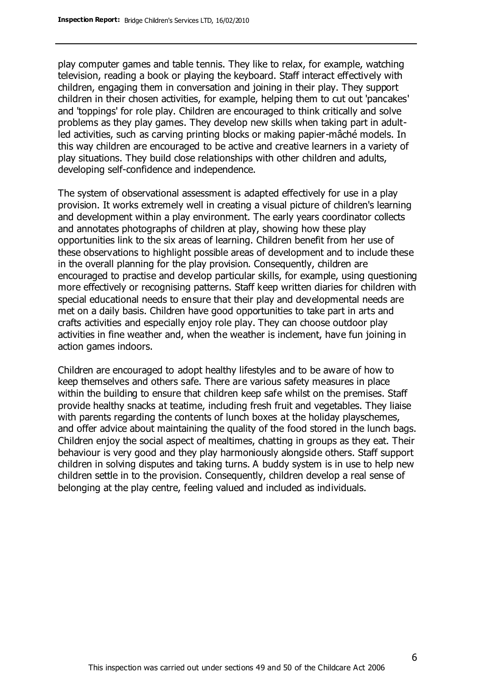play computer games and table tennis. They like to relax, for example, watching television, reading a book or playing the keyboard. Staff interact effectively with children, engaging them in conversation and joining in their play. They support children in their chosen activities, for example, helping them to cut out 'pancakes' and 'toppings' for role play. Children are encouraged to think critically and solve problems as they play games. They develop new skills when taking part in adultled activities, such as carving printing blocks or making papier-mâché models. In this way children are encouraged to be active and creative learners in a variety of play situations. They build close relationships with other children and adults, developing self-confidence and independence.

The system of observational assessment is adapted effectively for use in a play provision. It works extremely well in creating a visual picture of children's learning and development within a play environment. The early years coordinator collects and annotates photographs of children at play, showing how these play opportunities link to the six areas of learning. Children benefit from her use of these observations to highlight possible areas of development and to include these in the overall planning for the play provision. Consequently, children are encouraged to practise and develop particular skills, for example, using questioning more effectively or recognising patterns. Staff keep written diaries for children with special educational needs to ensure that their play and developmental needs are met on a daily basis. Children have good opportunities to take part in arts and crafts activities and especially enjoy role play. They can choose outdoor play activities in fine weather and, when the weather is inclement, have fun joining in action games indoors.

Children are encouraged to adopt healthy lifestyles and to be aware of how to keep themselves and others safe. There are various safety measures in place within the building to ensure that children keep safe whilst on the premises. Staff provide healthy snacks at teatime, including fresh fruit and vegetables. They liaise with parents regarding the contents of lunch boxes at the holiday playschemes, and offer advice about maintaining the quality of the food stored in the lunch bags. Children enjoy the social aspect of mealtimes, chatting in groups as they eat. Their behaviour is very good and they play harmoniously alongside others. Staff support children in solving disputes and taking turns. A buddy system is in use to help new children settle in to the provision. Consequently, children develop a real sense of belonging at the play centre, feeling valued and included as individuals.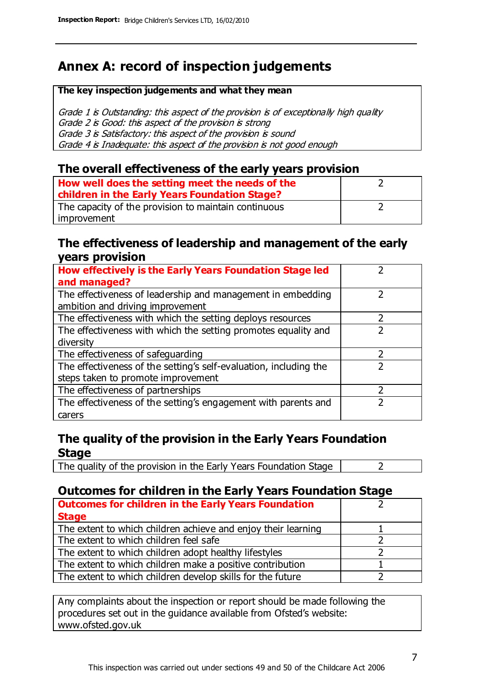# **Annex A: record of inspection judgements**

#### **The key inspection judgements and what they mean**

Grade 1 is Outstanding: this aspect of the provision is of exceptionally high quality Grade 2 is Good: this aspect of the provision is strong Grade 3 is Satisfactory: this aspect of the provision is sound Grade 4 is Inadequate: this aspect of the provision is not good enough

#### **The overall effectiveness of the early years provision**

| How well does the setting meet the needs of the<br>children in the Early Years Foundation Stage? |  |
|--------------------------------------------------------------------------------------------------|--|
| The capacity of the provision to maintain continuous                                             |  |
| improvement                                                                                      |  |

#### **The effectiveness of leadership and management of the early years provision**

| How effectively is the Early Years Foundation Stage led                                         |   |
|-------------------------------------------------------------------------------------------------|---|
| and managed?                                                                                    |   |
| The effectiveness of leadership and management in embedding<br>ambition and driving improvement |   |
| The effectiveness with which the setting deploys resources                                      |   |
| The effectiveness with which the setting promotes equality and                                  |   |
| diversity                                                                                       |   |
| The effectiveness of safeguarding                                                               | フ |
| The effectiveness of the setting's self-evaluation, including the                               |   |
| steps taken to promote improvement                                                              |   |
| The effectiveness of partnerships                                                               |   |
| The effectiveness of the setting's engagement with parents and                                  |   |
| carers                                                                                          |   |

#### **The quality of the provision in the Early Years Foundation Stage**

The quality of the provision in the Early Years Foundation Stage  $\vert$  2

### **Outcomes for children in the Early Years Foundation Stage**

| <b>Outcomes for children in the Early Years Foundation</b>    |  |
|---------------------------------------------------------------|--|
| <b>Stage</b>                                                  |  |
| The extent to which children achieve and enjoy their learning |  |
| The extent to which children feel safe                        |  |
| The extent to which children adopt healthy lifestyles         |  |
| The extent to which children make a positive contribution     |  |
| The extent to which children develop skills for the future    |  |

Any complaints about the inspection or report should be made following the procedures set out in the guidance available from Ofsted's website: www.ofsted.gov.uk